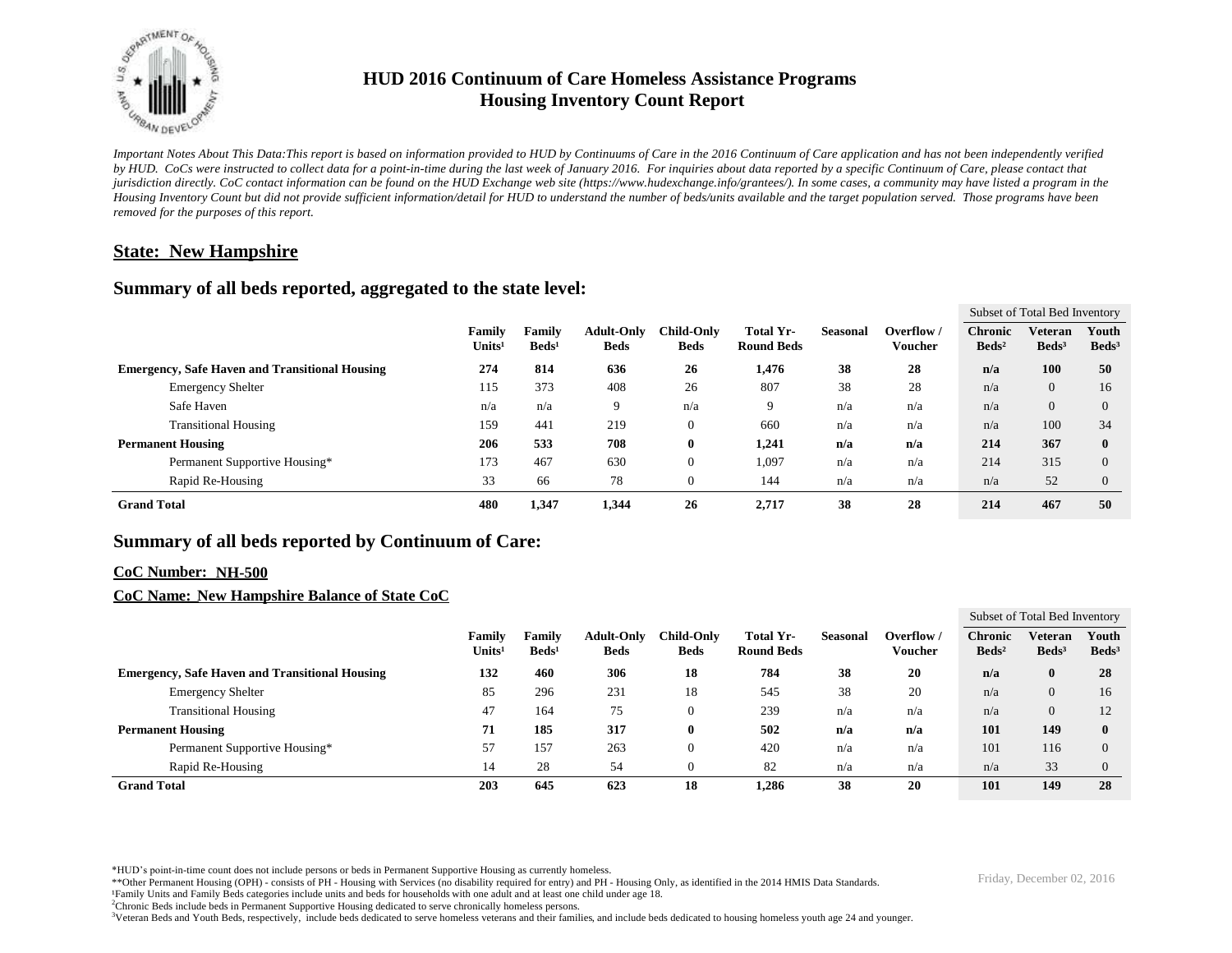

# **HUD 2016 Continuum of Care Homeless Assistance Programs Housing Inventory Count Report**

*Important Notes About This Data:This report is based on information provided to HUD by Continuums of Care in the 2016 Continuum of Care application and has not been independently verified by HUD. CoCs were instructed to collect data for a point-in-time during the last week of January 2016. For inquiries about data reported by a specific Continuum of Care, please contact that jurisdiction directly. CoC contact information can be found on the HUD Exchange web site (https://www.hudexchange.info/grantees/). In some cases, a community may have listed a program in the Housing Inventory Count but did not provide sufficient information/detail for HUD to understand the number of beds/units available and the target population served. Those programs have been removed for the purposes of this report.*

## **State: New Hampshire**

### **Summary of all beds reported, aggregated to the state level:**

|                                                       |                               |                              |                             |                                  |                                  |                                       |          |                      | Subset of Total Bed Inventory       |                              |                            |
|-------------------------------------------------------|-------------------------------|------------------------------|-----------------------------|----------------------------------|----------------------------------|---------------------------------------|----------|----------------------|-------------------------------------|------------------------------|----------------------------|
|                                                       |                               | Family<br>Units <sup>1</sup> | Family<br>Beds <sup>1</sup> | <b>Adult-Only</b><br><b>Beds</b> | <b>Child-Only</b><br><b>Beds</b> | <b>Total Yr-</b><br><b>Round Beds</b> | Seasonal | Overflow/<br>Voucher | <b>Chronic</b><br>Beds <sup>2</sup> | Veteran<br>Beds <sup>3</sup> | Youth<br>Beds <sup>3</sup> |
| <b>Emergency, Safe Haven and Transitional Housing</b> |                               | 274                          | 814                         | 636                              | 26                               | 1,476                                 | 38       | 28                   | n/a                                 | 100                          | 50                         |
|                                                       | <b>Emergency Shelter</b>      | 115                          | 373                         | 408                              | 26                               | 807                                   | 38       | 28                   | n/a                                 | $\overline{0}$               | 16                         |
|                                                       | Safe Haven                    | n/a                          | n/a                         | 9                                | n/a                              | 9                                     | n/a      | n/a                  | n/a                                 | $\overline{0}$               | $\Omega$                   |
|                                                       | <b>Transitional Housing</b>   | 159                          | 441                         | 219                              |                                  | 660                                   | n/a      | n/a                  | n/a                                 | 100                          | 34                         |
| <b>Permanent Housing</b>                              |                               | 206                          | 533                         | 708                              | 0                                | 1,241                                 | n/a      | n/a                  | 214                                 | 367                          | $\mathbf{0}$               |
|                                                       | Permanent Supportive Housing* | 173                          | 467                         | 630                              |                                  | 1,097                                 | n/a      | n/a                  | 214                                 | 315                          | $\Omega$                   |
|                                                       | Rapid Re-Housing              | 33                           | 66                          | 78                               |                                  | 144                                   | n/a      | n/a                  | n/a                                 | 52                           | $\theta$                   |
| <b>Grand Total</b>                                    |                               | 480                          | 1,347                       | 1,344                            | 26                               | 2,717                                 | 38       | 28                   | 214                                 | 467                          | 50                         |

## **Summary of all beds reported by Continuum of Care:**

#### **CoC Number: NH-500**

#### **CoC Name: New Hampshire Balance of State CoC**

|                                                       |                                     |                           |                                  |                                  |                                |          |                       | Subset of Total Bed Inventory     |                              |                          |
|-------------------------------------------------------|-------------------------------------|---------------------------|----------------------------------|----------------------------------|--------------------------------|----------|-----------------------|-----------------------------------|------------------------------|--------------------------|
|                                                       | <b>Family</b><br>Units <sup>1</sup> | Family<br>$\text{Beds}^1$ | <b>Adult-Only</b><br><b>Beds</b> | <b>Child-Only</b><br><b>Beds</b> | Total Yr-<br><b>Round Beds</b> | Seasonal | Overflow /<br>Voucher | <b>Chronic</b><br>$\text{Beds}^2$ | Veteran<br>Beds <sup>3</sup> | Youth<br>$\text{Beds}^3$ |
| <b>Emergency, Safe Haven and Transitional Housing</b> | 132                                 | 460                       | 306                              | 18                               | 784                            | 38       | 20                    | n/a                               | $\bf{0}$                     | 28                       |
| <b>Emergency Shelter</b>                              | 85                                  | 296                       | 231                              | 18                               | 545                            | 38       | 20                    | n/a                               | $\overline{0}$               | 16                       |
| <b>Transitional Housing</b>                           | 47                                  | 164                       | 75                               | $\theta$                         | 239                            | n/a      | n/a                   | n/a                               | $\overline{0}$               | 12                       |
| <b>Permanent Housing</b>                              | 71                                  | 185                       | 317                              | $\mathbf 0$                      | 502                            | n/a      | n/a                   | 101                               | 149                          | $\mathbf{0}$             |
| Permanent Supportive Housing*                         | 57                                  | 157                       | 263                              | $\theta$                         | 420                            | n/a      | n/a                   | 101                               | 116                          | $\Omega$                 |
| Rapid Re-Housing                                      | 14                                  | 28                        | 54                               | $\theta$                         | 82                             | n/a      | n/a                   | n/a                               | 33                           |                          |
| <b>Grand Total</b>                                    | 203                                 | 645                       | 623                              | 18                               | 1.286                          | 38       | 20                    | 101                               | 149                          | 28                       |

\*HUD's point-in-time count does not include persons or beds in Permanent Supportive Housing as currently homeless.<br>\*\*Other Permanent Housing (OPH) - consists of PH - Housing with Services (no disability required for entry)

¹Family Units and Family Beds categories include units and beds for households with one adult and at least one child under age 18.

<sup>2</sup>Chronic Beds include beds in Permanent Supportive Housing dedicated to serve chronically homeless persons.

<sup>3</sup>Veteran Beds and Youth Beds, respectively, include beds dedicated to serve homeless veterans and their families, and include beds dedicated to housing homeless youth age 24 and younger.

 $\overline{S}$  subset of  $\overline{S}$